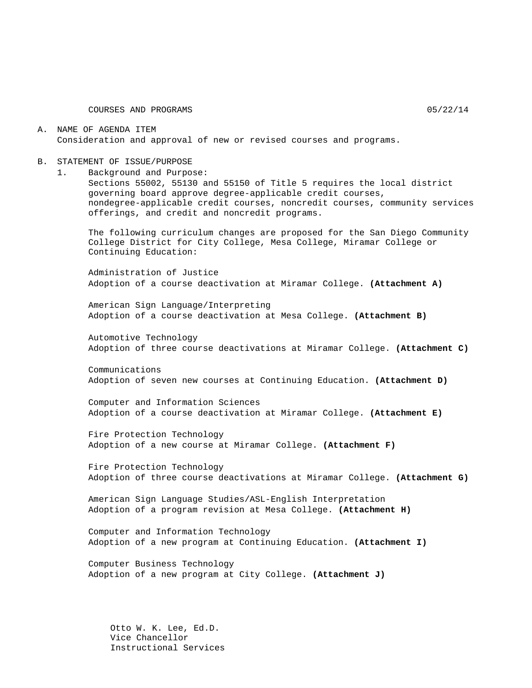COURSES AND PROGRAMS 05/22/14

#### A. NAME OF AGENDA ITEM Consideration and approval of new or revised courses and programs.

#### B. STATEMENT OF ISSUE/PURPOSE

1. Background and Purpose:

Sections 55002, 55130 and 55150 of Title 5 requires the local district governing board approve degree-applicable credit courses, nondegree-applicable credit courses, noncredit courses, community services offerings, and credit and noncredit programs.

The following curriculum changes are proposed for the San Diego Community College District for City College, Mesa College, Miramar College or Continuing Education:

Administration of Justice Adoption of a course deactivation at Miramar College. **(Attachment A)**

American Sign Language/Interpreting Adoption of a course deactivation at Mesa College. **(Attachment B)**

Automotive Technology Adoption of three course deactivations at Miramar College. **(Attachment C)**

Communications Adoption of seven new courses at Continuing Education. **(Attachment D)**

Computer and Information Sciences Adoption of a course deactivation at Miramar College. **(Attachment E)**

Fire Protection Technology Adoption of a new course at Miramar College. **(Attachment F)**

Fire Protection Technology Adoption of three course deactivations at Miramar College. **(Attachment G)**

American Sign Language Studies/ASL-English Interpretation Adoption of a program revision at Mesa College. **(Attachment H)**

Computer and Information Technology Adoption of a new program at Continuing Education. **(Attachment I)**

Computer Business Technology Adoption of a new program at City College. **(Attachment J)**

Otto W. K. Lee, Ed.D. Vice Chancellor Instructional Services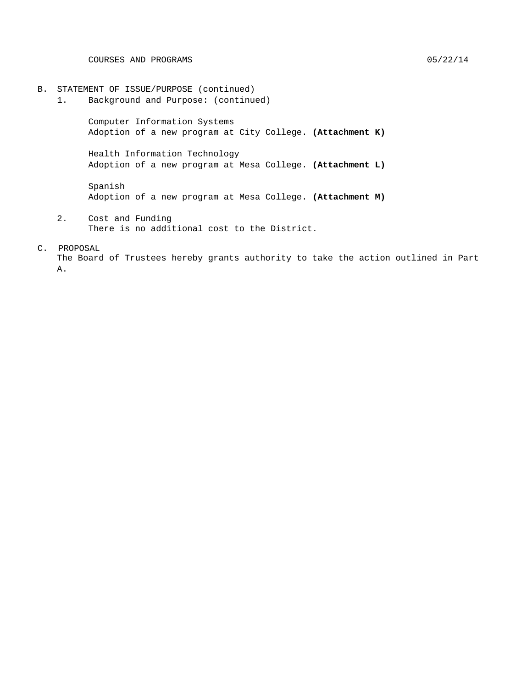- B. STATEMENT OF ISSUE/PURPOSE (continued)<br>1. Background and Purpose: (continue
	- Background and Purpose: (continued)

Computer Information Systems Adoption of a new program at City College. **(Attachment K)**

Health Information Technology Adoption of a new program at Mesa College. **(Attachment L)**

Spanish Adoption of a new program at Mesa College. **(Attachment M)**

2. Cost and Funding There is no additional cost to the District.

#### C. PROPOSAL

The Board of Trustees hereby grants authority to take the action outlined in Part A.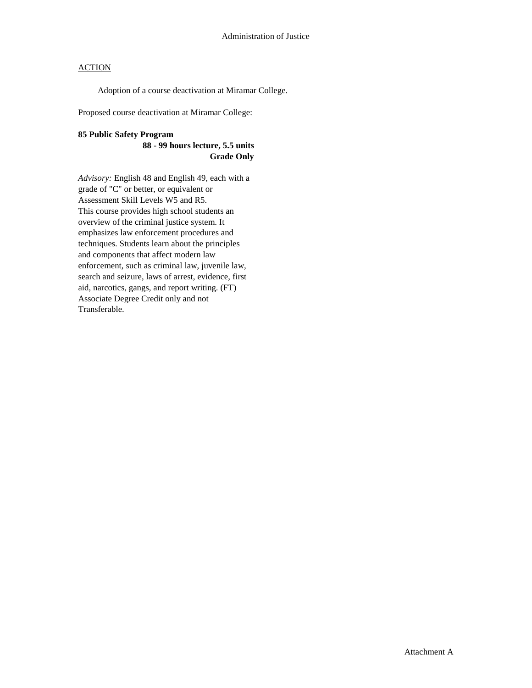Adoption of a course deactivation at Miramar College.

Proposed course deactivation at Miramar College:

## **85 Public Safety Program**

**88 - 99 hours lecture, 5.5 units Grade Only**

*Advisory:* English 48 and English 49, each with a grade of "C" or better, or equivalent or Assessment Skill Levels W5 and R5. This course provides high school students an overview of the criminal justice system. It emphasizes law enforcement procedures and techniques. Students learn about the principles and components that affect modern law enforcement, such as criminal law, juvenile law, search and seizure, laws of arrest, evidence, first aid, narcotics, gangs, and report writing. (FT) Associate Degree Credit only and not Transferable.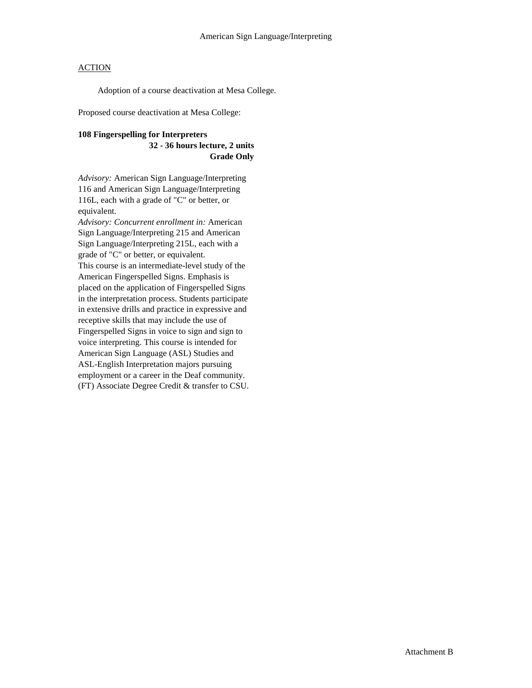Adoption of a course deactivation at Mesa College.

Proposed course deactivation at Mesa College:

#### **108 Fingerspelling for Interpreters 32 - 36 hours lecture, 2 units Grade Only**

*Advisory:* American Sign Language/Interpreting 116 and American Sign Language/Interpreting 116L, each with a grade of "C" or better, or equivalent.

*Advisory: Concurrent enrollment in:* American Sign Language/Interpreting 215 and American Sign Language/Interpreting 215L, each with a grade of "C" or better, or equivalent. This course is an intermediate-level study of the American Fingerspelled Signs. Emphasis is placed on the application of Fingerspelled Signs in the interpretation process. Students participate in extensive drills and practice in expressive and receptive skills that may include the use of Fingerspelled Signs in voice to sign and sign to voice interpreting. This course is intended for American Sign Language (ASL) Studies and ASL-English Interpretation majors pursuing employment or a career in the Deaf community. (FT) Associate Degree Credit & transfer to CSU.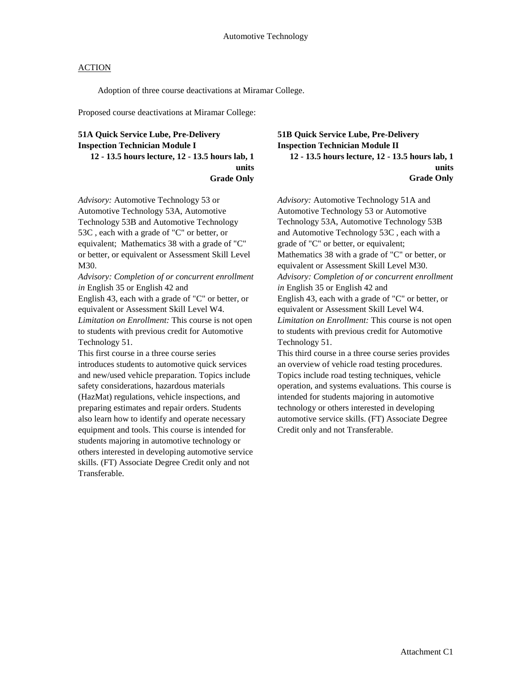Adoption of three course deactivations at Miramar College.

Proposed course deactivations at Miramar College:

### **51A Quick Service Lube, Pre-Delivery Inspection Technician Module I 12 - 13.5 hours lecture, 12 - 13.5 hours lab, 1 units Grade Only**

*Advisory:* Automotive Technology 53 or Automotive Technology 53A, Automotive Technology 53B and Automotive Technology 53C , each with a grade of "C" or better, or equivalent; Mathematics 38 with a grade of "C" or better, or equivalent or Assessment Skill Level M30.

*Advisory: Completion of or concurrent enrollment in* English 35 or English 42 and

English 43, each with a grade of "C" or better, or equivalent or Assessment Skill Level W4. *Limitation on Enrollment:* This course is not open to students with previous credit for Automotive Technology 51.

This first course in a three course series introduces students to automotive quick services and new/used vehicle preparation. Topics include safety considerations, hazardous materials (HazMat) regulations, vehicle inspections, and preparing estimates and repair orders. Students also learn how to identify and operate necessary equipment and tools. This course is intended for students majoring in automotive technology or others interested in developing automotive service skills. (FT) Associate Degree Credit only and not Transferable.

**51B Quick Service Lube, Pre-Delivery Inspection Technician Module II 12 - 13.5 hours lecture, 12 - 13.5 hours lab, 1 units Grade Only**

*Advisory:* Automotive Technology 51A and Automotive Technology 53 or Automotive Technology 53A, Automotive Technology 53B and Automotive Technology 53C , each with a grade of "C" or better, or equivalent; Mathematics 38 with a grade of "C" or better, or equivalent or Assessment Skill Level M30. *Advisory: Completion of or concurrent enrollment in* English 35 or English 42 and English 43, each with a grade of "C" or better, or equivalent or Assessment Skill Level W4. *Limitation on Enrollment:* This course is not open to students with previous credit for Automotive Technology 51. This third course in a three course series provides an overview of vehicle road testing procedures.

Topics include road testing techniques, vehicle operation, and systems evaluations. This course is intended for students majoring in automotive technology or others interested in developing automotive service skills. (FT) Associate Degree Credit only and not Transferable.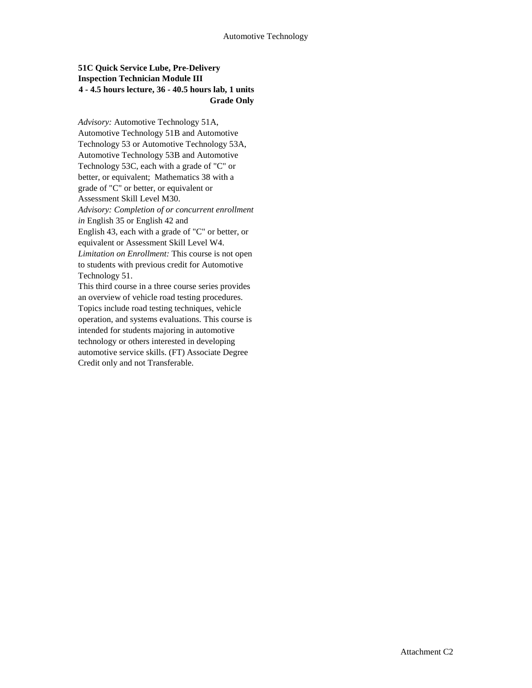## **51C Quick Service Lube, Pre-Delivery Inspection Technician Module III 4 - 4.5 hours lecture, 36 - 40.5 hours lab, 1 units Grade Only**

*Advisory:* Automotive Technology 51A, Automotive Technology 51B and Automotive Technology 53 or Automotive Technology 53A, Automotive Technology 53B and Automotive Technology 53C, each with a grade of "C" or better, or equivalent; Mathematics 38 with a grade of "C" or better, or equivalent or Assessment Skill Level M30. *Advisory: Completion of or concurrent enrollment in* English 35 or English 42 and English 43, each with a grade of "C" or better, or equivalent or Assessment Skill Level W4. *Limitation on Enrollment:* This course is not open to students with previous credit for Automotive Technology 51. This third course in a three course series provides an overview of vehicle road testing procedures. Topics include road testing techniques, vehicle operation, and systems evaluations. This course is intended for students majoring in automotive

automotive service skills. (FT) Associate Degree Credit only and not Transferable.

technology or others interested in developing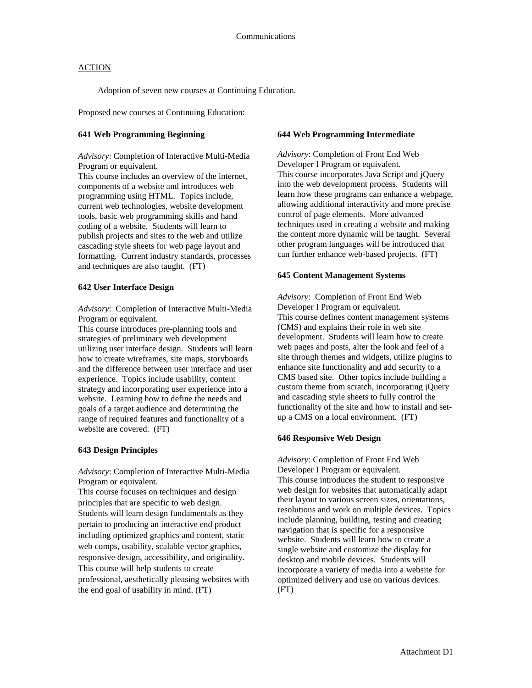Adoption of seven new courses at Continuing Education.

Proposed new courses at Continuing Education:

#### **641 Web Programming Beginning**

*Advisory*: Completion of Interactive Multi-Media Program or equivalent.

This course includes an overview of the internet, components of a website and introduces web programming using HTML. Topics include, current web technologies, website development tools, basic web programming skills and hand coding of a website. Students will learn to publish projects and sites to the web and utilize cascading style sheets for web page layout and formatting. Current industry standards, processes and techniques are also taught. (FT)

#### **642 User Interface Design**

*Advisory*: Completion of Interactive Multi-Media Program or equivalent.

This course introduces pre-planning tools and strategies of preliminary web development utilizing user interface design. Students will learn how to create wireframes, site maps, storyboards and the difference between user interface and user experience. Topics include usability, content strategy and incorporating user experience into a website. Learning how to define the needs and goals of a target audience and determining the range of required features and functionality of a website are covered. (FT)

#### **643 Design Principles**

*Advisory*: Completion of Interactive Multi-Media Program or equivalent.

This course focuses on techniques and design principles that are specific to web design. Students will learn design fundamentals as they pertain to producing an interactive end product including optimized graphics and content, static web comps, usability, scalable vector graphics, responsive design, accessibility, and originality. This course will help students to create professional, aesthetically pleasing websites with the end goal of usability in mind. (FT)

#### **644 Web Programming Intermediate**

*Advisory*: Completion of Front End Web Developer I Program or equivalent. This course incorporates Java Script and jQuery into the web development process. Students will learn how these programs can enhance a webpage, allowing additional interactivity and more precise control of page elements. More advanced techniques used in creating a website and making the content more dynamic will be taught. Several other program languages will be introduced that can further enhance web-based projects. (FT)

#### **645 Content Management Systems**

*Advisory*: Completion of Front End Web Developer I Program or equivalent. This course defines content management systems (CMS) and explains their role in web site development. Students will learn how to create web pages and posts, alter the look and feel of a site through themes and widgets, utilize plugins to enhance site functionality and add security to a CMS based site. Other topics include building a custom theme from scratch, incorporating jQuery and cascading style sheets to fully control the functionality of the site and how to install and setup a CMS on a local environment. (FT)

#### **646 Responsive Web Design**

*Advisory*: Completion of Front End Web Developer I Program or equivalent. This course introduces the student to responsive web design for websites that automatically adapt their layout to various screen sizes, orientations, resolutions and work on multiple devices. Topics include planning, building, testing and creating navigation that is specific for a responsive website. Students will learn how to create a single website and customize the display for desktop and mobile devices. Students will incorporate a variety of media into a website for optimized delivery and use on various devices. (FT)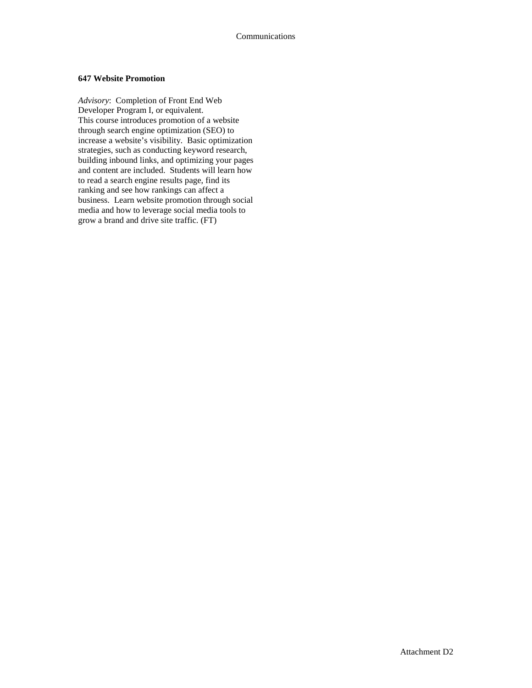#### **647 Website Promotion**

*Advisory*: Completion of Front End Web Developer Program I, or equivalent. This course introduces promotion of a website through search engine optimization (SEO) to increase a website's visibility. Basic optimization strategies, such as conducting keyword research, building inbound links, and optimizing your pages and content are included. Students will learn how to read a search engine results page, find its ranking and see how rankings can affect a business. Learn website promotion through social media and how to leverage social media tools to grow a brand and drive site traffic. (FT)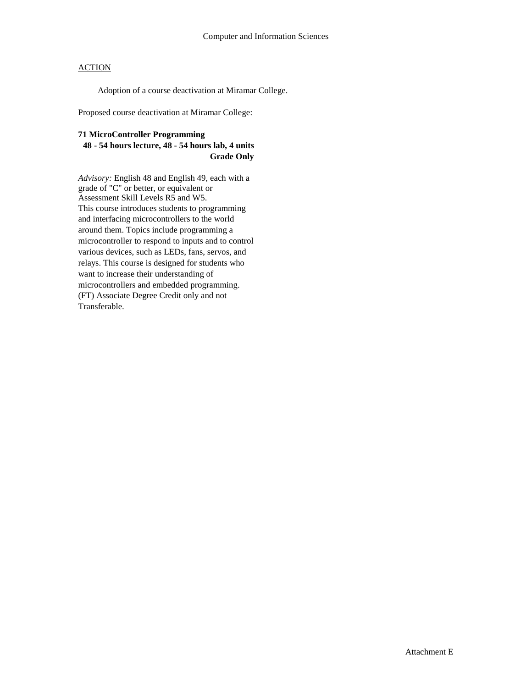Adoption of a course deactivation at Miramar College.

Proposed course deactivation at Miramar College:

### **71 MicroController Programming**

### **48 - 54 hours lecture, 48 - 54 hours lab, 4 units Grade Only**

*Advisory:* English 48 and English 49, each with a grade of "C" or better, or equivalent or Assessment Skill Levels R5 and W5. This course introduces students to programming and interfacing microcontrollers to the world around them. Topics include programming a microcontroller to respond to inputs and to control various devices, such as LEDs, fans, servos, and relays. This course is designed for students who want to increase their understanding of microcontrollers and embedded programming. (FT) Associate Degree Credit only and not Transferable.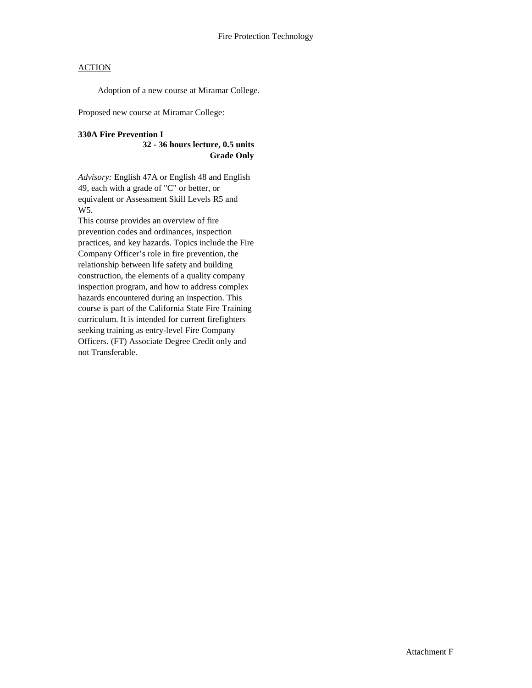Adoption of a new course at Miramar College.

Proposed new course at Miramar College:

#### **330A Fire Prevention I 32 - 36 hours lecture, 0.5 units**

**Grade Only**

*Advisory:* English 47A or English 48 and English 49, each with a grade of "C" or better, or equivalent or Assessment Skill Levels R5 and W5.

This course provides an overview of fire prevention codes and ordinances, inspection practices, and key hazards. Topics include the Fire Company Officer's role in fire prevention, the relationship between life safety and building construction, the elements of a quality company inspection program, and how to address complex hazards encountered during an inspection. This course is part of the California State Fire Training curriculum. It is intended for current firefighters seeking training as entry-level Fire Company Officers. (FT) Associate Degree Credit only and not Transferable.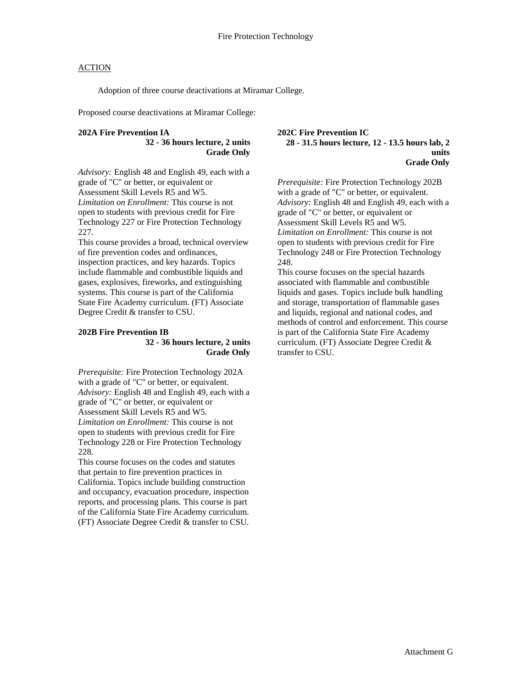Adoption of three course deactivations at Miramar College.

Proposed course deactivations at Miramar College:

#### **202A Fire Prevention IA 32 - 36 hours lecture, 2 units Grade Only**

*Advisory:* English 48 and English 49, each with a grade of "C" or better, or equivalent or Assessment Skill Levels R5 and W5. *Limitation on Enrollment:* This course is not open to students with previous credit for Fire Technology 227 or Fire Protection Technology 227.

This course provides a broad, technical overview of fire prevention codes and ordinances, inspection practices, and key hazards. Topics include flammable and combustible liquids and gases, explosives, fireworks, and extinguishing systems. This course is part of the California State Fire Academy curriculum. (FT) Associate Degree Credit & transfer to CSU.

#### **202B Fire Prevention IB 32 - 36 hours lecture, 2 units Grade Only**

*Prerequisite:* Fire Protection Technology 202A with a grade of "C" or better, or equivalent. *Advisory:* English 48 and English 49, each with a grade of "C" or better, or equivalent or Assessment Skill Levels R5 and W5. *Limitation on Enrollment:* This course is not open to students with previous credit for Fire Technology 228 or Fire Protection Technology  $228$ 

This course focuses on the codes and statutes that pertain to fire prevention practices in California. Topics include building construction and occupancy, evacuation procedure, inspection reports, and processing plans. This course is part of the California State Fire Academy curriculum. (FT) Associate Degree Credit & transfer to CSU. **202C Fire Prevention IC 28 - 31.5 hours lecture, 12 - 13.5 hours lab, 2 units Grade Only**

*Prerequisite:* Fire Protection Technology 202B with a grade of "C" or better, or equivalent. *Advisory:* English 48 and English 49, each with a grade of "C" or better, or equivalent or Assessment Skill Levels R5 and W5. *Limitation on Enrollment:* This course is not open to students with previous credit for Fire Technology 248 or Fire Protection Technology 248.

This course focuses on the special hazards associated with flammable and combustible liquids and gases. Topics include bulk handling and storage, transportation of flammable gases and liquids, regional and national codes, and methods of control and enforcement. This course is part of the California State Fire Academy curriculum. (FT) Associate Degree Credit & transfer to CSU.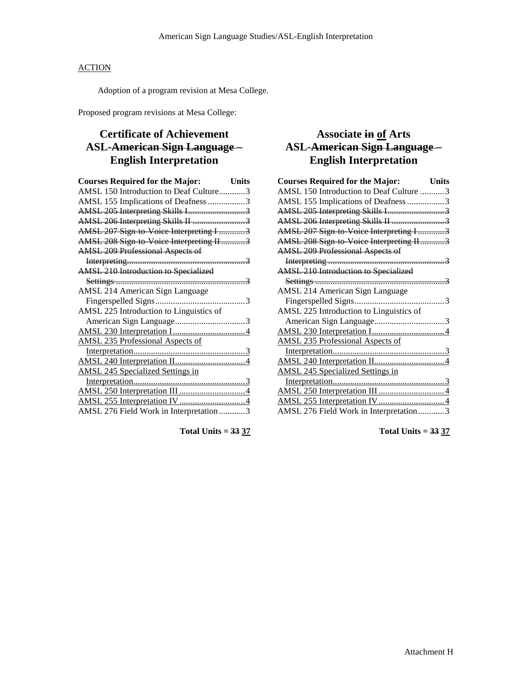Adoption of a program revision at Mesa College.

Proposed program revisions at Mesa College:

## **Certificate of Achievement ASL-American Sign Language – English Interpretation**

| <b>Courses Required for the Major:</b>      | <b>Units</b> |
|---------------------------------------------|--------------|
| AMSL 150 Introduction to Deaf Culture3      |              |
| AMSL 155 Implications of Deafness 3         |              |
| AMSL 205 Interpreting Skills I3             |              |
| AMSL 206 Interpreting Skills II 3           |              |
| AMSL 207 Sign to Voice Interpreting I 3     |              |
| AMSL 208 Sign to Voice Interpreting II3     |              |
| <b>AMSL 209 Professional Aspects of</b>     |              |
|                                             |              |
| <b>AMSL 210 Introduction to Specialized</b> |              |
|                                             |              |
| <b>AMSL 214 American Sign Language</b>      |              |
|                                             |              |
| AMSL 225 Introduction to Linguistics of     |              |
|                                             |              |
|                                             |              |
| <b>AMSL 235 Professional Aspects of</b>     |              |
|                                             |              |
|                                             |              |
| <b>AMSL 245 Specialized Settings in</b>     |              |
|                                             |              |
|                                             |              |
|                                             |              |
| AMSL 276 Field Work in Interpretation3      |              |
|                                             |              |

**Total Units = 33 37**

## **Associate in of Arts ASL-American Sign Language – English Interpretation**

| <b>Courses Required for the Major:</b>  | <b>Units</b> |
|-----------------------------------------|--------------|
| AMSL 150 Introduction to Deaf Culture 3 |              |
| AMSL 155 Implications of Deafness 3     |              |
| AMSL 205 Interpreting Skills I3         |              |
| AMSL 206 Interpreting Skills II 3       |              |
| AMSL 207 Sign to Voice Interpreting I 3 |              |
| AMSL 208 Sign to Voice Interpreting II3 |              |
| <b>AMSL 209 Professional Aspects of</b> |              |
|                                         |              |
| AMSL 210 Introduction to Specialized    |              |
|                                         |              |
| AMSL 214 American Sign Language         |              |
|                                         |              |
| AMSL 225 Introduction to Linguistics of |              |
|                                         |              |
|                                         |              |
| <b>AMSL 235 Professional Aspects of</b> |              |
|                                         |              |
|                                         |              |
| <b>AMSL 245 Specialized Settings in</b> |              |
|                                         |              |
|                                         |              |
|                                         |              |
| AMSL 276 Field Work in Interpretation3  |              |

**Total Units = 33 37**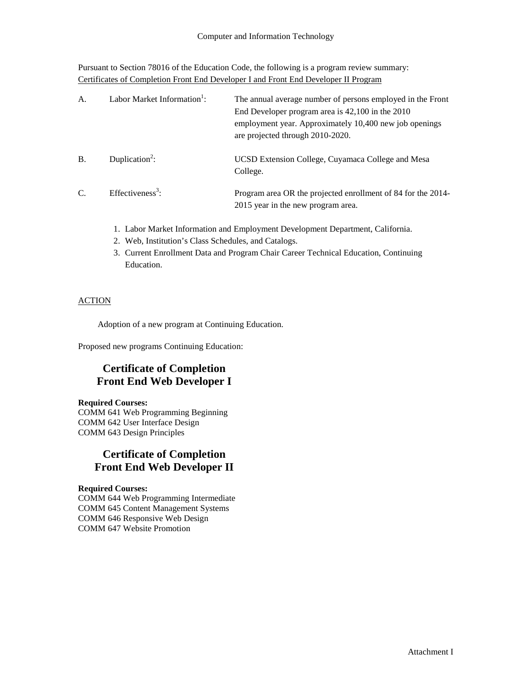Pursuant to Section 78016 of the Education Code, the following is a program review summary: Certificates of Completion Front End Developer I and Front End Developer II Program

| A.            | Labor Market Information <sup>1</sup> : | The annual average number of persons employed in the Front<br>End Developer program area is 42,100 in the 2010<br>employment year. Approximately 10,400 new job openings<br>are projected through 2010-2020. |
|---------------|-----------------------------------------|--------------------------------------------------------------------------------------------------------------------------------------------------------------------------------------------------------------|
| <b>B.</b>     | Duplication <sup>2</sup> :              | UCSD Extension College, Cuyamaca College and Mesa<br>College.                                                                                                                                                |
| $\mathcal{C}$ | Effectiveness <sup>3</sup> :            | Program area OR the projected enrollment of 84 for the 2014-<br>2015 year in the new program area.                                                                                                           |

- 1. Labor Market Information and Employment Development Department, California.
- 2. Web, Institution's Class Schedules, and Catalogs.
- 3. Current Enrollment Data and Program Chair Career Technical Education, Continuing Education.

## ACTION

Adoption of a new program at Continuing Education.

Proposed new programs Continuing Education:

# **Certificate of Completion Front End Web Developer I**

#### **Required Courses:**

COMM 641 Web Programming Beginning COMM 642 User Interface Design COMM 643 Design Principles

## **Certificate of Completion Front End Web Developer II**

### **Required Courses:**

COMM 644 Web Programming Intermediate COMM 645 Content Management Systems COMM 646 Responsive Web Design COMM 647 Website Promotion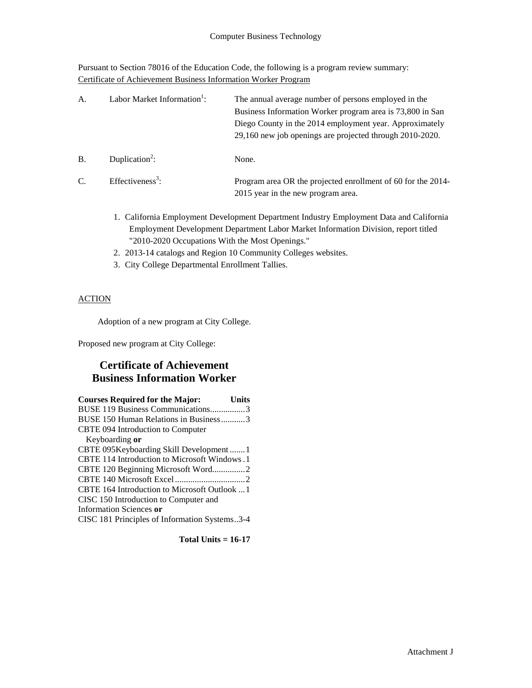Pursuant to Section 78016 of the Education Code, the following is a program review summary: Certificate of Achievement Business Information Worker Program

| А.    | Labor Market Information <sup>1</sup> : | The annual average number of persons employed in the<br>Business Information Worker program area is 73,800 in San<br>Diego County in the 2014 employment year. Approximately<br>29,160 new job openings are projected through 2010-2020. |
|-------|-----------------------------------------|------------------------------------------------------------------------------------------------------------------------------------------------------------------------------------------------------------------------------------------|
| $B$ . | Duplication <sup>2</sup> :              | None.                                                                                                                                                                                                                                    |
| C.    | Effectiveness <sup>3</sup> :            | Program area OR the projected enrollment of 60 for the 2014-<br>2015 year in the new program area.                                                                                                                                       |

- 1. California Employment Development Department Industry Employment Data and California Employment Development Department Labor Market Information Division, report titled "2010-2020 Occupations With the Most Openings."
- 2. 2013-14 catalogs and Region 10 Community Colleges websites.
- 3. City College Departmental Enrollment Tallies.

### **ACTION**

Adoption of a new program at City College.

Proposed new program at City College:

## **Certificate of Achievement Business Information Worker**

| <b>Courses Required for the Major:</b><br>Units |  |
|-------------------------------------------------|--|
| BUSE 119 Business Communications3               |  |
| BUSE 150 Human Relations in Business3           |  |
| CBTE 094 Introduction to Computer               |  |
| Keyboarding or                                  |  |
| CBTE 095Keyboarding Skill Development  1        |  |
| CBTE 114 Introduction to Microsoft Windows.1    |  |
| CBTE 120 Beginning Microsoft Word2              |  |
|                                                 |  |
| CBTE 164 Introduction to Microsoft Outlook  1   |  |
| CISC 150 Introduction to Computer and           |  |
| Information Sciences or                         |  |
| CISC 181 Principles of Information Systems3-4   |  |

**Total Units = 16-17**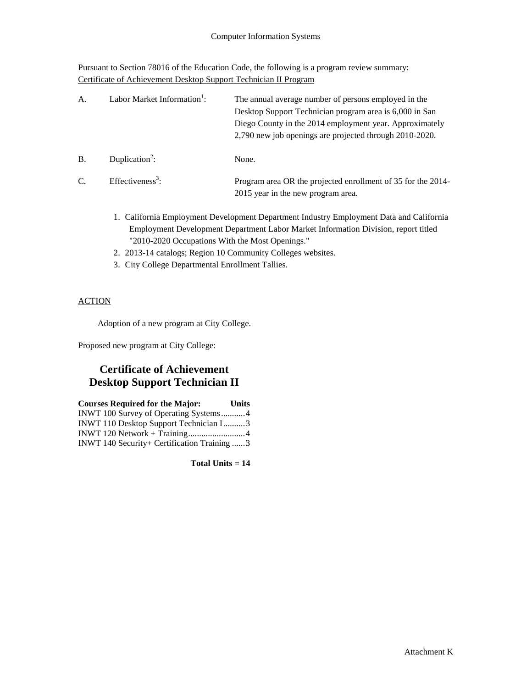Pursuant to Section 78016 of the Education Code, the following is a program review summary: Certificate of Achievement Desktop Support Technician II Program

| A.        | Labor Market Information <sup>1</sup> : | The annual average number of persons employed in the<br>Desktop Support Technician program area is 6,000 in San<br>Diego County in the 2014 employment year. Approximately<br>2,790 new job openings are projected through 2010-2020. |
|-----------|-----------------------------------------|---------------------------------------------------------------------------------------------------------------------------------------------------------------------------------------------------------------------------------------|
| <b>B.</b> | Duplication <sup>2</sup> :              | None.                                                                                                                                                                                                                                 |
| C.        | Effectiveness <sup>3</sup> :            | Program area OR the projected enrollment of 35 for the 2014-<br>2015 year in the new program area.                                                                                                                                    |

- 1. California Employment Development Department Industry Employment Data and California Employment Development Department Labor Market Information Division, report titled "2010-2020 Occupations With the Most Openings."
- 2. 2013-14 catalogs; Region 10 Community Colleges websites.
- 3. City College Departmental Enrollment Tallies.

### **ACTION**

Adoption of a new program at City College.

Proposed new program at City College:

# **Certificate of Achievement Desktop Support Technician II**

| <b>Courses Required for the Major:</b>      | <b>Units</b> |
|---------------------------------------------|--------------|
| INWT 100 Survey of Operating Systems4       |              |
| INWT 110 Desktop Support Technician I3      |              |
|                                             |              |
| INWT 140 Security+ Certification Training 3 |              |

**Total Units = 14**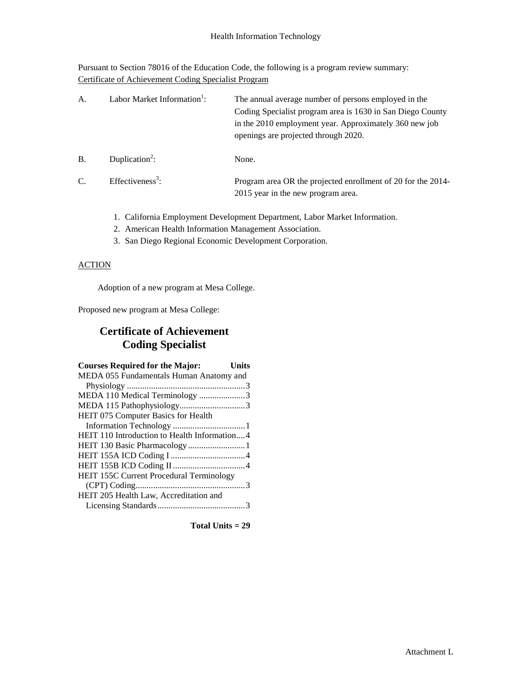Pursuant to Section 78016 of the Education Code, the following is a program review summary: Certificate of Achievement Coding Specialist Program

| A. | Labor Market Information <sup>1</sup> : | The annual average number of persons employed in the<br>Coding Specialist program area is 1630 in San Diego County<br>in the 2010 employment year. Approximately 360 new job<br>openings are projected through 2020. |
|----|-----------------------------------------|----------------------------------------------------------------------------------------------------------------------------------------------------------------------------------------------------------------------|
| B. | Duplication <sup>2</sup> :              | None.                                                                                                                                                                                                                |
| C. | Effectiveness <sup>3</sup> :            | Program area OR the projected enrollment of 20 for the 2014-<br>2015 year in the new program area.                                                                                                                   |

- 1. California Employment Development Department, Labor Market Information.
- 2. American Health Information Management Association.
- 3. San Diego Regional Economic Development Corporation.

## **ACTION**

Adoption of a new program at Mesa College.

Proposed new program at Mesa College:

# **Certificate of Achievement Coding Specialist**

| <b>Courses Required for the Major:</b>       | <b>Units</b> |
|----------------------------------------------|--------------|
| MEDA 055 Fundamentals Human Anatomy and      |              |
|                                              |              |
| MEDA 110 Medical Terminology 3               |              |
|                                              |              |
| HEIT 075 Computer Basics for Health          |              |
|                                              |              |
| HEIT 110 Introduction to Health Information4 |              |
|                                              |              |
|                                              |              |
|                                              |              |
| HEIT 155C Current Procedural Terminology     |              |
|                                              |              |
| HEIT 205 Health Law, Accreditation and       |              |
|                                              |              |

**Total Units = 29**